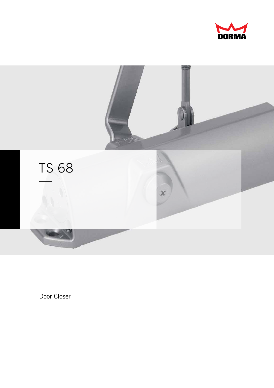



Door Closer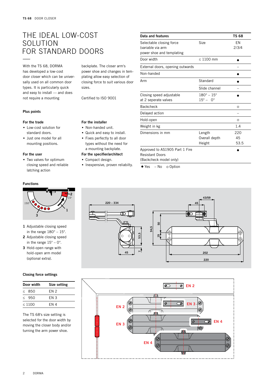## The ideal low-cost solution FOR STANDARD DOORS

With the TS 68, DORMA has developed a low-cost door closer which can be universally used on all common door types. It is particularly quick and easy to install — and does not require a mounting

### Plus points

#### For the trade

- . Low-cost solution for standard doors.
- . Just one model for all mounting positions.

### For the user

Functions

150°

. Two valves for optimum closing speed and reliable latching action

**2**

15°

**1**

#### For the installer . Non-handed unit.

sizes.

. Quick and easy to install.

Certified to ISO 9001

backplate. The closer arm's power shoe and changes in templating allow easy selection of closing force to suit various door

- . Fixes perfectly to all door types without the need for a mounting backplate. For the specifier/architect
- . Compact design.
	-
- **.** Inexpensive, proven reliabilty.

| Data and features                                                                  |                                                        | <b>TS 68</b>      |
|------------------------------------------------------------------------------------|--------------------------------------------------------|-------------------|
| Selectable closing force<br>(variable via arm<br>power shoe and templating         | Size                                                   | EN<br>2/3/4       |
| Door width                                                                         | $\leq 1100$ mm                                         |                   |
| External doors, opening outwards                                                   |                                                        |                   |
| Non-handed                                                                         |                                                        |                   |
| Arm                                                                                | Standard                                               |                   |
|                                                                                    | Slide channel                                          |                   |
| Closing speed adjustable<br>at 2 seperate valves                                   | $180^{\circ} - 15^{\circ}$<br>$15^{\circ} - 0^{\circ}$ |                   |
| <b>Backcheck</b>                                                                   |                                                        | $\circ$           |
| Delayed action                                                                     |                                                        |                   |
| Hold-open                                                                          |                                                        | $\circ$           |
| Weight in kg                                                                       |                                                        | 1.4               |
| Dimensions in mm                                                                   | Length<br>Overall depth<br>Height                      | 220<br>45<br>53.5 |
| Approved to AS1905 Part 1 Fire<br><b>Resistant Doors</b><br>(Backcheck model only) |                                                        |                   |

 $\bullet$  Yes – No  $\circ$  Option





1 Adjustable closing speed in the range 180° – 15°. **3**

- 2 Adjustable closing speed in the range  $15^{\circ}$  – 0°.
- 3 Hold-open range with hold-open arm model (optional extra).

### Closing force settings

| Door width  | Size setting |  |  |
|-------------|--------------|--|--|
| ≤ 850       | FN 2         |  |  |
| & 950       | FN 3         |  |  |
| $\leq 1100$ | FN 4         |  |  |

The TS 68's size setting is selected for the door width by moving the closer body and/or turning the arm power shoe.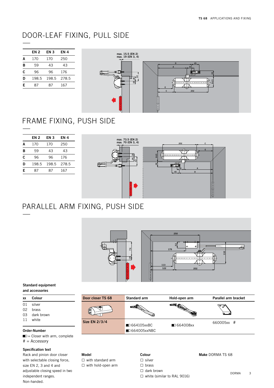## DOOR-LEAF FIXING, PULL SIDE

|   | EN 2  | EN 3  | EN 4  |
|---|-------|-------|-------|
| A | 170   | 170   | 250   |
| В | 59    | 43    | 43    |
| c | 96    | 96    | 176   |
| D | 198.5 | 198.5 | 278.5 |
| Е | 87    | 87    | 167   |
|   |       |       |       |



# FRAME FIXING, PUSH SIDE

|   | EN 2  | EN 3  | EN 4  |
|---|-------|-------|-------|
| A | 170   | 170   | 250   |
| в | 59    | 43    | 43    |
| c | 96    | 96    | 176   |
| D | 198.5 | 198.5 | 278.5 |
| Е | 87    | 87    | 167   |



## PARALLEL ARM FIXING, PUSH SIDE



#### Standard equipment and accessories

| XX                                                            | Colour                        | Door closer TS 68    | Standard arm                                | Hold-open arm           | Parallel arm bracket |
|---------------------------------------------------------------|-------------------------------|----------------------|---------------------------------------------|-------------------------|----------------------|
| 01<br>02<br>03                                                | silver<br>brass<br>dark brown | ဖြ                   | ▅                                           | <b>EN EN</b>            | رڪ ڪ<br>le l         |
| 11                                                            | white<br>Order-Number         | <b>Size EN 2/3/4</b> | ■□ 664105xxBC<br>$\blacksquare$ 664005xxNBC | $\blacksquare$ 664008xx | 660005xx #           |
| $\blacksquare$ = Closer with arm, complete<br>$#$ = Accessory |                               |                      |                                             |                         |                      |

## Specification text

Rack and pinion door closer with selectable closing force, size EN 2, 3 and 4 and adjustable closing speed in two independent ranges. Non-handed.

## Model □ with standard arm □ with hold-open arm

## Colour □ silver □ brass

□ dark brown

□ white (similar to RAL 9016)

### Make DORMA TS 68